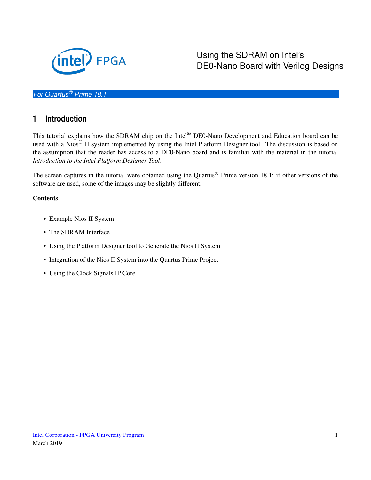

Using the SDRAM on Intel's DE0-Nano Board with Verilog Designs

#### *For Quartus® Prime 18.1*

#### **1 Introduction**

This tutorial explains how the SDRAM chip on the Intel® DE0-Nano Development and Education board can be used with a Nios® II system implemented by using the Intel Platform Designer tool. The discussion is based on the assumption that the reader has access to a DE0-Nano board and is familiar with the material in the tutorial *Introduction to the Intel Platform Designer Tool*.

The screen captures in the tutorial were obtained using the Quartus® Prime version 18.1; if other versions of the software are used, some of the images may be slightly different.

#### Contents:

- Example Nios II System
- The SDRAM Interface
- Using the Platform Designer tool to Generate the Nios II System
- Integration of the Nios II System into the Quartus Prime Project
- Using the Clock Signals IP Core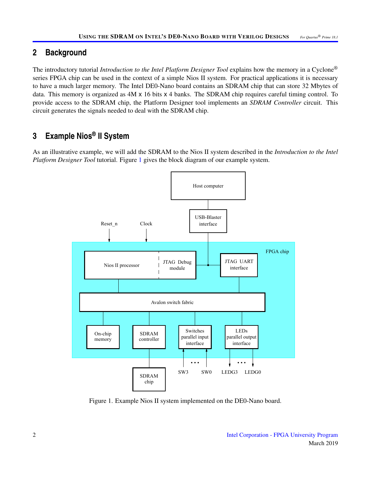### **2 Background**

The introductory tutorial *Introduction to the Intel Platform Designer Tool* explains how the memory in a Cyclone® series FPGA chip can be used in the context of a simple Nios II system. For practical applications it is necessary to have a much larger memory. The Intel DE0-Nano board contains an SDRAM chip that can store 32 Mbytes of data. This memory is organized as 4M x 16 bits x 4 banks. The SDRAM chip requires careful timing control. To provide access to the SDRAM chip, the Platform Designer tool implements an *SDRAM Controller* circuit. This circuit generates the signals needed to deal with the SDRAM chip.

## **3 Example Nios® II System**

<span id="page-1-0"></span>As an illustrative example, we will add the SDRAM to the Nios II system described in the *Introduction to the Intel Platform Designer Tool* tutorial. Figure [1](#page-1-0) gives the block diagram of our example system.



Figure 1. Example Nios II system implemented on the DE0-Nano board.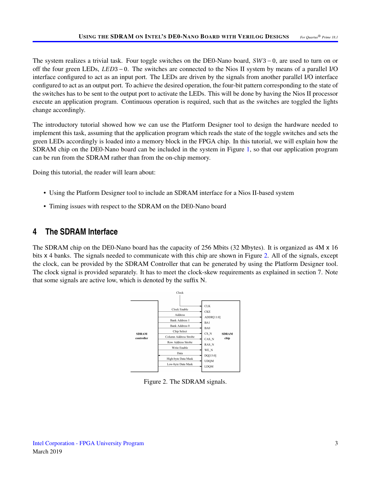The system realizes a trivial task. Four toggle switches on the DE0-Nano board, *SW* 3 − 0, are used to turn on or off the four green LEDs, *LED*3 − 0. The switches are connected to the Nios II system by means of a parallel I/O interface configured to act as an input port. The LEDs are driven by the signals from another parallel I/O interface configured to act as an output port. To achieve the desired operation, the four-bit pattern corresponding to the state of the switches has to be sent to the output port to activate the LEDs. This will be done by having the Nios II processor execute an application program. Continuous operation is required, such that as the switches are toggled the lights change accordingly.

The introductory tutorial showed how we can use the Platform Designer tool to design the hardware needed to implement this task, assuming that the application program which reads the state of the toggle switches and sets the green LEDs accordingly is loaded into a memory block in the FPGA chip. In this tutorial, we will explain how the SDRAM chip on the DE0-Nano board can be included in the system in Figure [1,](#page-1-0) so that our application program can be run from the SDRAM rather than from the on-chip memory.

Doing this tutorial, the reader will learn about:

- Using the Platform Designer tool to include an SDRAM interface for a Nios II-based system
- Timing issues with respect to the SDRAM on the DE0-Nano board

## **4 The SDRAM Interface**

<span id="page-2-0"></span>The SDRAM chip on the DE0-Nano board has the capacity of 256 Mbits (32 Mbytes). It is organized as 4M x 16 bits x 4 banks. The signals needed to communicate with this chip are shown in Figure [2.](#page-2-0) All of the signals, except the clock, can be provided by the SDRAM Controller that can be generated by using the Platform Designer tool. The clock signal is provided separately. It has to meet the clock-skew requirements as explained in section 7. Note that some signals are active low, which is denoted by the suffix N.



Figure 2. The SDRAM signals.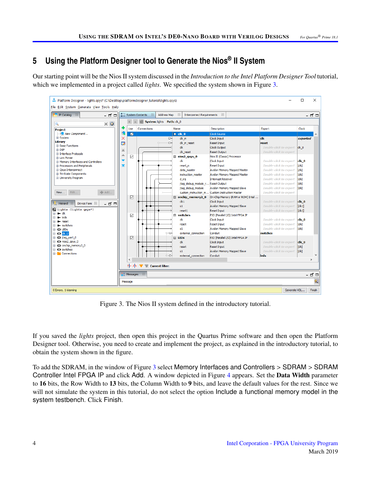# **5 Using the Platform Designer tool to Generate the Nios® II System**

Our starting point will be the Nios II system discussed in the *Introduction to the Intel Platform Designer Tool* tutorial, which we implemented in a project called *lights*. We specified the system shown in Figure [3.](#page-3-0)

<span id="page-3-0"></span>

Figure 3. The Nios II system defined in the introductory tutorial.

If you saved the *lights* project, then open this project in the Quartus Prime software and then open the Platform Designer tool. Otherwise, you need to create and implement the project, as explained in the introductory tutorial, to obtain the system shown in the figure.

To add the SDRAM, in the window of Figure [3](#page-3-0) select Memory Interfaces and Controllers > SDRAM > SDRAM Controller Intel FPGA IP and click Add. A window depicted in Figure [4](#page-4-0) appears. Set the Data Width parameter to 16 bits, the Row Width to 13 bits, the Column Width to 9 bits, and leave the default values for the rest. Since we will not simulate the system in this tutorial, do not select the option Include a functional memory model in the system testbench. Click Finish.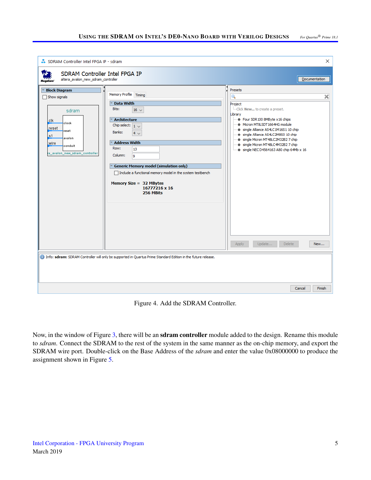<span id="page-4-0"></span>

Figure 4. Add the SDRAM Controller.

Now, in the window of Figure [3,](#page-3-0) there will be an **sdram controller** module added to the design. Rename this module to *sdram*. Connect the SDRAM to the rest of the system in the same manner as the on-chip memory, and export the SDRAM wire port. Double-click on the Base Address of the *sdram* and enter the value 0x08000000 to produce the assignment shown in Figure [5.](#page-5-0)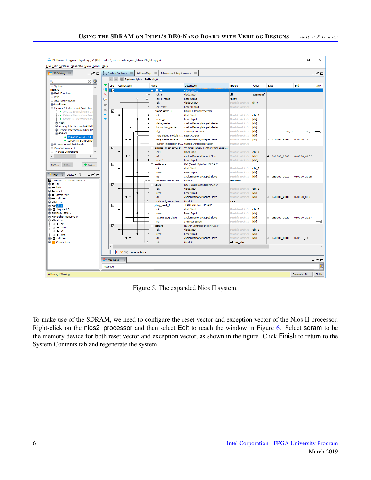<span id="page-5-0"></span>

Figure 5. The expanded Nios II system.

To make use of the SDRAM, we need to configure the reset vector and exception vector of the Nios II processor. Right-click on the nios2 processor and then select Edit to reach the window in Figure [6.](#page-6-0) Select sdram to be the memory device for both reset vector and exception vector, as shown in the figure. Click Finish to return to the System Contents tab and regenerate the system.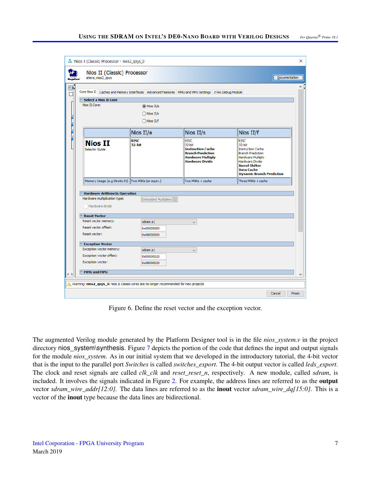<span id="page-6-0"></span>

|             | Core Nios II Caches and Memory Interfaces Advanced Features MMU and MPU Settings JTAG Debug Module |                             |                                                                                                                                     |                                                                                                                                                                                                                |  |  |  |  |  |  |
|-------------|----------------------------------------------------------------------------------------------------|-----------------------------|-------------------------------------------------------------------------------------------------------------------------------------|----------------------------------------------------------------------------------------------------------------------------------------------------------------------------------------------------------------|--|--|--|--|--|--|
|             | <b>Select a Nios II Core</b>                                                                       |                             |                                                                                                                                     |                                                                                                                                                                                                                |  |  |  |  |  |  |
|             | Nios II Core:                                                                                      | $\circledcirc$ Nios II/e    |                                                                                                                                     |                                                                                                                                                                                                                |  |  |  |  |  |  |
|             |                                                                                                    | $\bigcirc$ Nios II/s        |                                                                                                                                     |                                                                                                                                                                                                                |  |  |  |  |  |  |
|             | $\bigcirc$ Nios II/f                                                                               |                             |                                                                                                                                     |                                                                                                                                                                                                                |  |  |  |  |  |  |
|             |                                                                                                    | Nios II/e                   | Nios II/s                                                                                                                           | Nios II/f                                                                                                                                                                                                      |  |  |  |  |  |  |
|             | <b>Nios II</b><br>Selector Guide                                                                   | <b>RISC</b><br>32-bit       | <b>RISC</b><br>32-bit<br><b>Instruction Cache</b><br><b>Branch Prediction</b><br><b>Hardware Multiply</b><br><b>Hardware Divide</b> | <b>RISC</b><br>32-bit<br><b>Instruction Cache</b><br><b>Branch Prediction</b><br><b>Hardware Multiply</b><br>Hardware Divide<br><b>Barrel Shifter</b><br><b>Data Cache</b><br><b>Dynamic Branch Prediction</b> |  |  |  |  |  |  |
|             | Memory Usage (e.g Stratix IV) Two M9Ks (or equiv.)                                                 |                             | Two M9Ks + cache                                                                                                                    | Three M9Ks + cache                                                                                                                                                                                             |  |  |  |  |  |  |
|             |                                                                                                    |                             |                                                                                                                                     |                                                                                                                                                                                                                |  |  |  |  |  |  |
|             | <b>Hardware Arithmetic Operation</b><br>Hardware multiplication type:                              | <b>Embedded Multipliers</b> |                                                                                                                                     |                                                                                                                                                                                                                |  |  |  |  |  |  |
|             | Hardware divide                                                                                    |                             |                                                                                                                                     |                                                                                                                                                                                                                |  |  |  |  |  |  |
|             | <b>Reset Vector</b>                                                                                |                             |                                                                                                                                     |                                                                                                                                                                                                                |  |  |  |  |  |  |
|             | Reset vector memory:                                                                               | sdram.s1                    | $\checkmark$                                                                                                                        |                                                                                                                                                                                                                |  |  |  |  |  |  |
|             | Reset vector offset:                                                                               | 0x00000000                  |                                                                                                                                     |                                                                                                                                                                                                                |  |  |  |  |  |  |
|             | Reset vector:                                                                                      | 0x08000000                  |                                                                                                                                     |                                                                                                                                                                                                                |  |  |  |  |  |  |
|             | <b>Exception Vector</b>                                                                            |                             |                                                                                                                                     |                                                                                                                                                                                                                |  |  |  |  |  |  |
|             | Exception vector memory:                                                                           | sdram.s1                    | $\checkmark$                                                                                                                        |                                                                                                                                                                                                                |  |  |  |  |  |  |
|             | Exception vector offset:                                                                           | 0x00000020                  |                                                                                                                                     |                                                                                                                                                                                                                |  |  |  |  |  |  |
|             | <b>Exception vector:</b>                                                                           | 0x08000020                  |                                                                                                                                     |                                                                                                                                                                                                                |  |  |  |  |  |  |
|             | MMU and MPU                                                                                        |                             |                                                                                                                                     |                                                                                                                                                                                                                |  |  |  |  |  |  |
| $\langle$ ) |                                                                                                    |                             |                                                                                                                                     |                                                                                                                                                                                                                |  |  |  |  |  |  |

Figure 6. Define the reset vector and the exception vector.

The augmented Verilog module generated by the Platform Designer tool is in the file *nios\_system.v* in the project directory nios\_system\synthesis. Figure [7](#page-7-0) depicts the portion of the code that defines the input and output signals for the module *nios\_system*. As in our initial system that we developed in the introductory tutorial, the 4-bit vector that is the input to the parallel port *Switches* is called *switches\_export*. The 4-bit output vector is called *leds\_export*. The clock and reset signals are called *clk\_clk* and *reset\_reset\_n*, respectively. A new module, called *sdram*, is included. It involves the signals indicated in Figure [2.](#page-2-0) For example, the address lines are referred to as the output vector *sdram\_wire\_addr[12:0]*. The data lines are referred to as the inout vector *sdram\_wire\_dq[15:0]*. This is a vector of the inout type because the data lines are bidirectional.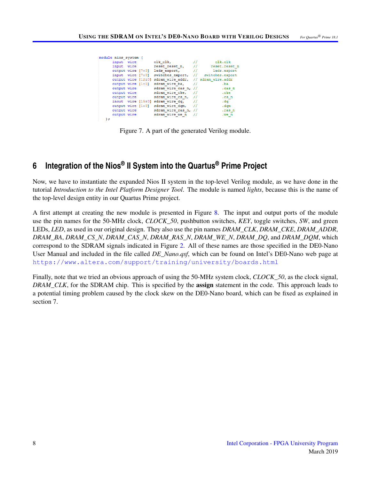<span id="page-7-0"></span>

|     | module nios system ( |  |                                                        |                   |                 |
|-----|----------------------|--|--------------------------------------------------------|-------------------|-----------------|
|     | input wire           |  | clk clk,                                               |                   | clk.clk         |
|     | input wire           |  | reset reset n,                                         |                   | reset.reset n   |
|     | output wire [7:0]    |  | leds export.                                           | $^{\prime\prime}$ | leds.export     |
|     |                      |  | input wire [7:0] switches export, //                   |                   | switches.export |
|     |                      |  | output wire [12:0] sdram wire addr, // sdram wire.addr |                   |                 |
|     |                      |  | output wire [1:0] sdram wire ba,                       | $^{\prime\prime}$ | .ba             |
|     | output wire          |  | sdram wire cas n, //                                   |                   | .cas n          |
|     | output wire          |  | sdram wire cke, //                                     |                   | .cke            |
|     | output wire          |  | sdram wire cs n, $//$                                  |                   | .cs n           |
|     |                      |  | inout wire [15:0] sdram wire dq,                       |                   | . da            |
|     |                      |  | output wire [1:0] sdram wire dom.                      | $^{\prime\prime}$ | . dam           |
|     | output wire          |  | sdram wire ras n, //                                   |                   | .ras n          |
|     | output wire          |  | sdram wire we n                                        |                   | .we n           |
| : ( |                      |  |                                                        |                   |                 |

Figure 7. A part of the generated Verilog module.

## **6 Integration of the Nios® II System into the Quartus® Prime Project**

Now, we have to instantiate the expanded Nios II system in the top-level Verilog module, as we have done in the tutorial *Introduction to the Intel Platform Designer Tool*. The module is named *lights*, because this is the name of the top-level design entity in our Quartus Prime project.

A first attempt at creating the new module is presented in Figure [8.](#page-8-0) The input and output ports of the module use the pin names for the 50-MHz clock, *CLOCK\_50*, pushbutton switches, *KEY*, toggle switches, *SW*, and green LEDs, *LED*, as used in our original design. They also use the pin names *DRAM\_CLK*, *DRAM\_CKE*, *DRAM\_ADDR*, *DRAM\_BA*, *DRAM\_CS\_N*, *DRAM\_CAS\_N*, *DRAM\_RAS\_N*, *DRAM\_WE\_N*, *DRAM\_DQ*, and *DRAM\_DQM*, which correspond to the SDRAM signals indicated in Figure [2.](#page-2-0) All of these names are those specified in the DE0-Nano User Manual and included in the file called *DE\_Nano.gsf*, which can be found on Intel's DE0-Nano web page at <https://www.altera.com/support/training/university/boards.html>

Finally, note that we tried an obvious approach of using the 50-MHz system clock, *CLOCK\_50*, as the clock signal, *DRAM\_CLK*, for the SDRAM chip. This is specified by the assign statement in the code. This approach leads to a potential timing problem caused by the clock skew on the DE0-Nano board, which can be fixed as explained in section 7.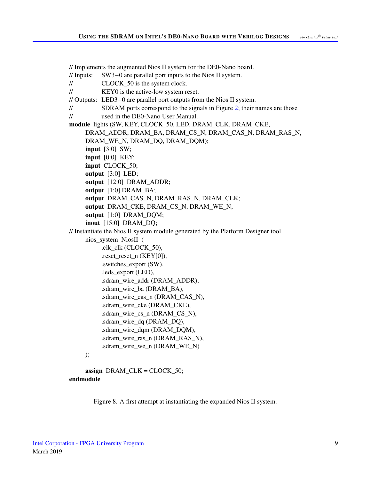<span id="page-8-0"></span>// Implements the augmented Nios II system for the DE0-Nano board.

- // Inputs: SW3−0 are parallel port inputs to the Nios II system.
- // CLOCK\_50 is the system clock.
- // KEY0 is the active-low system reset.

// Outputs: LED3−0 are parallel port outputs from the Nios II system.

// SDRAM ports correspond to the signals in Figure [2;](#page-2-0) their names are those

// used in the DE0-Nano User Manual.

module lights (SW, KEY, CLOCK\_50, LED, DRAM\_CLK, DRAM\_CKE,

```
DRAM_ADDR, DRAM_BA, DRAM_CS_N, DRAM_CAS_N, DRAM_RAS_N,
```
DRAM\_WE\_N, DRAM\_DQ, DRAM\_DQM);

- input [3:0] SW;
- input [0:0] KEY;

input CLOCK\_50;

- output [3:0] LED;
- output [12:0] DRAM\_ADDR;
- output [1:0] DRAM\_BA;
- output DRAM\_CAS\_N, DRAM\_RAS\_N, DRAM\_CLK;
- output DRAM\_CKE, DRAM\_CS\_N, DRAM\_WE\_N;
- output [1:0] DRAM\_DQM;
- inout [15:0] DRAM\_DQ;

// Instantiate the Nios II system module generated by the Platform Designer tool

nios\_system NiosII (

```
.clk_clk (CLOCK_50),
.reset_reset_n (KEY[0]),
.switches_export (SW),
.leds_export (LED),
.sdram_wire_addr (DRAM_ADDR),
.sdram_wire_ba (DRAM_BA),
.sdram_wire_cas_n (DRAM_CAS_N),
.sdram_wire_cke (DRAM_CKE),
.sdram_wire_cs_n (DRAM_CS_N),
.sdram_wire_dq (DRAM_DQ),
.sdram_wire_dqm (DRAM_DQM),
.sdram_wire_ras_n (DRAM_RAS_N),
.sdram_wire_we_n (DRAM_WE_N)
```
#### );

assign  $DRAM_CLK = CLOCK_50$ ; endmodule

Figure 8. A first attempt at instantiating the expanded Nios II system.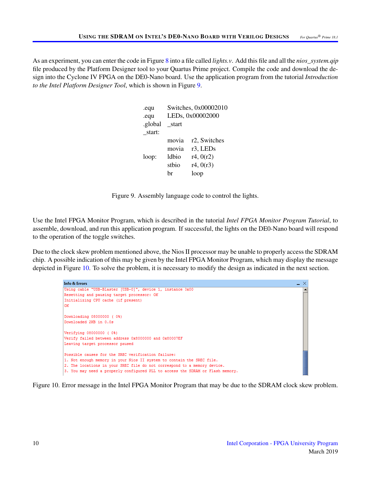<span id="page-9-0"></span>As an experiment, you can enter the code in Figure [8](#page-8-0) into a file called *lights.v*. Add this file and all the *nios\_system.qip* file produced by the Platform Designer tool to your Quartus Prime project. Compile the code and download the design into the Cyclone IV FPGA on the DE0-Nano board. Use the application program from the tutorial *Introduction to the Intel Platform Designer Tool*, which is shown in Figure [9.](#page-9-0)

| .equ    | Switches, 0x00002010 |                                   |  |  |
|---------|----------------------|-----------------------------------|--|--|
| .equ    | LEDs, 0x00002000     |                                   |  |  |
| .global | start                |                                   |  |  |
| start:  |                      |                                   |  |  |
|         | movia                | r <sub>2</sub> , Switches         |  |  |
|         | movia                | r <sub>3</sub> , LED <sub>s</sub> |  |  |
| loop:   | ldbio                | r4, 0(r2)                         |  |  |
|         | stbio                | r4, 0(r3)                         |  |  |
|         | hr                   | loop                              |  |  |
|         |                      |                                   |  |  |

Figure 9. Assembly language code to control the lights.

Use the Intel FPGA Monitor Program, which is described in the tutorial *Intel FPGA Monitor Program Tutorial*, to assemble, download, and run this application program. If successful, the lights on the DE0-Nano board will respond to the operation of the toggle switches.

<span id="page-9-1"></span>Due to the clock skew problem mentioned above, the Nios II processor may be unable to properly access the SDRAM chip. A possible indication of this may be given by the Intel FPGA Monitor Program, which may display the message depicted in Figure [10.](#page-9-1) To solve the problem, it is necessary to modify the design as indicated in the next section.

| <b>Info &amp; Frrors</b>                                                       | _ × |
|--------------------------------------------------------------------------------|-----|
| Using cable "USB-Blaster [USB-0]", device 1, instance 0x00                     |     |
| Resetting and pausing target processor: OK                                     |     |
| Initializing CPU cache (if present)                                            |     |
| OK                                                                             |     |
|                                                                                |     |
| Downloading 08000000 ( 0%)                                                     |     |
| Downloaded 2KB in 0.0s                                                         |     |
|                                                                                |     |
| Verifying 08000000 (0%)                                                        |     |
| Verify failed between address 0x8000000 and 0x80007EF                          |     |
| Leaving target processor paused                                                |     |
|                                                                                |     |
| Possible causes for the SREC verification failure:                             |     |
| 1. Not enough memory in your Nios II system to contain the SREC file.          |     |
| 2. The locations in your SREC file do not correspond to a memory device.       |     |
| 3. You may need a properly configured PLL to access the SDRAM or Flash memory. |     |

Figure 10. Error message in the Intel FPGA Monitor Program that may be due to the SDRAM clock skew problem.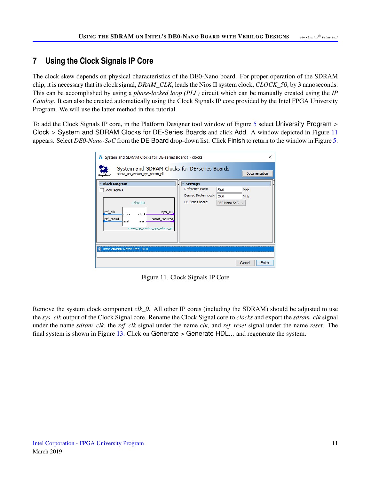## **7 Using the Clock Signals IP Core**

The clock skew depends on physical characteristics of the DE0-Nano board. For proper operation of the SDRAM chip, it is necessary that its clock signal, *DRAM\_CLK*, leads the Nios II system clock, *CLOCK\_50*, by 3 nanoseconds. This can be accomplished by using a *phase-locked loop (PLL)* circuit which can be manually created using the *IP Catalog*. It can also be created automatically using the Clock Signals IP core provided by the Intel FPGA University Program. We will use the latter method in this tutorial.

<span id="page-10-0"></span>To add the Clock Signals IP core, in the Platform Designer tool window of Figure [5](#page-5-0) select University Program > Clock > System and SDRAM Clocks for DE-Series Boards and click Add. A window depicted in Figure [11](#page-10-0) appears. Select *DE0-Nano-SoC* from the DE Board drop-down list. Click Finish to return to the window in Figure [5.](#page-5-0)

| ×<br>System and SDRAM Clocks for DE-series Boards - clocks                                                                       |                         |                         |                  |  |  |  |  |
|----------------------------------------------------------------------------------------------------------------------------------|-------------------------|-------------------------|------------------|--|--|--|--|
| System and SDRAM Clocks for DE-series Boards<br>altera up avalon sys sdram pll                                                   |                         |                         | Documentation    |  |  |  |  |
| <b>Block Diagram</b><br> ₩                                                                                                       | <b>Settings</b>         |                         |                  |  |  |  |  |
| Show signals                                                                                                                     | Reference clock:        | 50.0                    | MHz              |  |  |  |  |
|                                                                                                                                  | Desired System clock:   | 50.0                    | <b>MHz</b>       |  |  |  |  |
| clocks<br>ref_clk<br>sys_clk_<br>clock<br>clock<br>reset_source<br>ref_reset<br>reset<br>reset<br>altera up avalon sys sdram pll | <b>DE-Series Board:</b> | $DE0$ -Nano-So $C \sim$ |                  |  |  |  |  |
| (i) Info: clocks: Refck Freq: 50.0                                                                                               |                         |                         |                  |  |  |  |  |
|                                                                                                                                  |                         |                         | Finish<br>Cancel |  |  |  |  |

Figure 11. Clock Signals IP Core

Remove the system clock component *clk\_0*. All other IP cores (including the SDRAM) should be adjusted to use the *sys\_clk* output of the Clock Signal core. Rename the Clock Signal core to *clocks* and export the *sdram\_clk* signal under the name *sdram\_clk*, the *ref\_clk* signal under the name *clk*, and *ref\_reset* signal under the name *reset*. The final system is shown in Figure [13.](#page-12-0) Click on Generate > Generate HDL... and regenerate the system.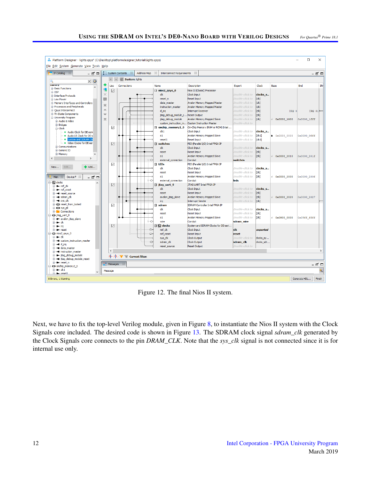

Figure 12. The final Nios II system.

Next, we have to fix the top-level Verilog module, given in Figure [8,](#page-8-0) to instantiate the Nios II system with the Clock Signals core included. The desired code is shown in Figure [13.](#page-12-0) The SDRAM clock signal *sdram\_clk* generated by the Clock Signals core connects to the pin *DRAM\_CLK*. Note that the *sys\_clk* signal is not connected since it is for internal use only.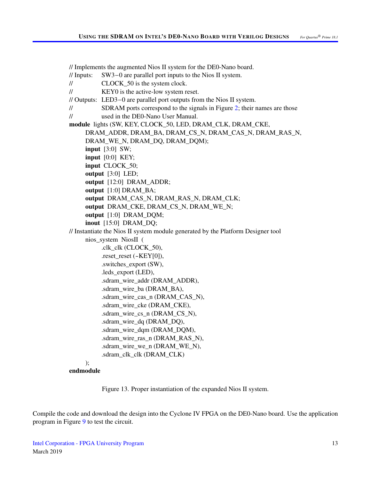<span id="page-12-0"></span>// Implements the augmented Nios II system for the DE0-Nano board.

- // Inputs: SW3−0 are parallel port inputs to the Nios II system.
- // CLOCK\_50 is the system clock.
- // KEY0 is the active-low system reset.

// Outputs: LED3−0 are parallel port outputs from the Nios II system.

// SDRAM ports correspond to the signals in Figure [2;](#page-2-0) their names are those

// used in the DE0-Nano User Manual.

module lights (SW, KEY, CLOCK\_50, LED, DRAM\_CLK, DRAM\_CKE,

```
DRAM_ADDR, DRAM_BA, DRAM_CS_N, DRAM_CAS_N, DRAM_RAS_N,
```
DRAM\_WE\_N, DRAM\_DQ, DRAM\_DQM);

- input [3:0] SW;
- input [0:0] KEY;

input CLOCK\_50;

output [3:0] LED;

```
output [12:0] DRAM_ADDR;
```
output [1:0] DRAM\_BA;

- output DRAM\_CAS\_N, DRAM\_RAS\_N, DRAM\_CLK;
- output DRAM\_CKE, DRAM\_CS\_N, DRAM\_WE\_N;
- output [1:0] DRAM\_DQM;
- inout [15:0] DRAM\_DQ;

// Instantiate the Nios II system module generated by the Platform Designer tool

nios\_system NiosII (

```
.clk_clk (CLOCK_50),
.reset_reset (~KEY[0]),
.switches_export (SW),
.leds_export (LED),
.sdram_wire_addr (DRAM_ADDR),
.sdram_wire_ba (DRAM_BA),
.sdram_wire_cas_n (DRAM_CAS_N),
.sdram_wire_cke (DRAM_CKE),
.sdram_wire_cs_n (DRAM_CS_N),
.sdram_wire_dq (DRAM_DQ),
.sdram_wire_dqm (DRAM_DQM),
.sdram_wire_ras_n (DRAM_RAS_N),
.sdram_wire_we_n (DRAM_WE_N),
.sdram_clk_clk (DRAM_CLK)
```
## );

endmodule

Figure 13. Proper instantiation of the expanded Nios II system.

Compile the code and download the design into the Cyclone IV FPGA on the DE0-Nano board. Use the application program in Figure [9](#page-9-0) to test the circuit.